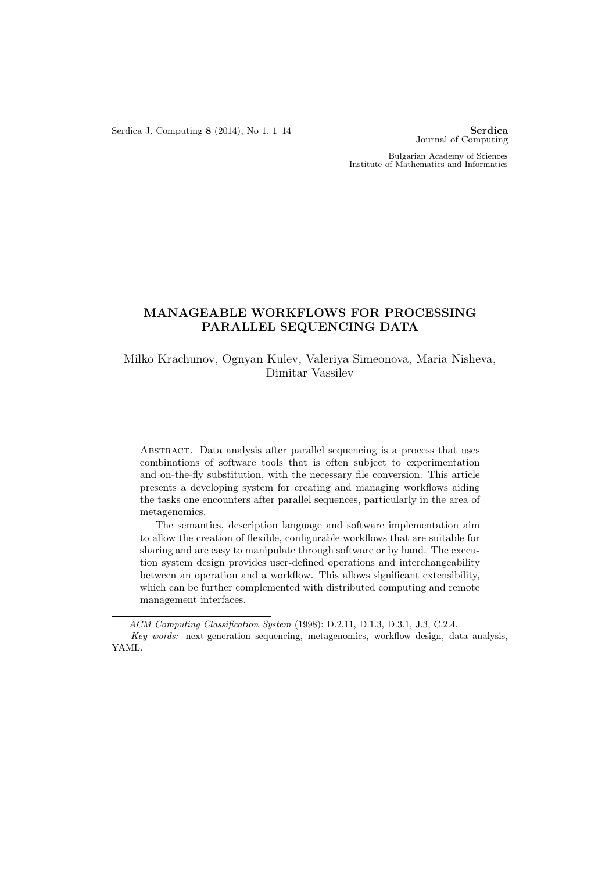Serdica J. Computing  $8$  (2014), No 1, 1–14 Serdica

Journal of Computing

Bulgarian Academy of Sciences Institute of Mathematics and Informatics

# MANAGEABLE WORKFLOWS FOR PROCESSING PARALLEL SEQUENCING DATA

Milko Krachunov, Ognyan Kulev, Valeriya Simeonova, Maria Nisheva, Dimitar Vassilev

Abstract. Data analysis after parallel sequencing is a process that uses combinations of software tools that is often subject to experimentation and on-the-fly substitution, with the necessary file conversion. This article presents a developing system for creating and managing workflows aiding the tasks one encounters after parallel sequences, particularly in the area of metagenomics.

The semantics, description language and software implementation aim to allow the creation of flexible, configurable workflows that are suitable for sharing and are easy to manipulate through software or by hand. The execution system design provides user-defined operations and interchangeability between an operation and a workflow. This allows significant extensibility, which can be further complemented with distributed computing and remote management interfaces.

ACM Computing Classification System (1998): D.2.11, D.1.3, D.3.1, J.3, C.2.4. Key words: next-generation sequencing, metagenomics, workflow design, data analysis, YAML.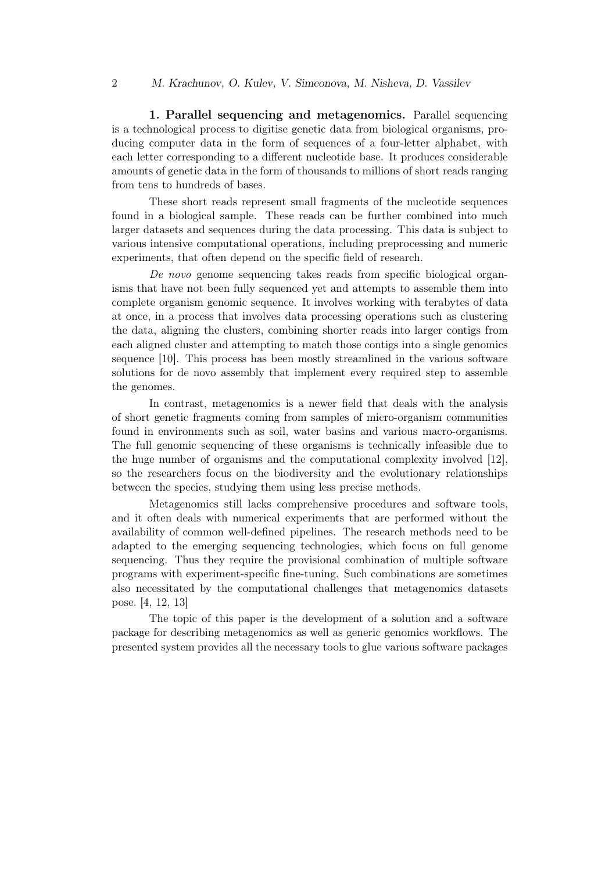1. Parallel sequencing and metagenomics. Parallel sequencing is a technological process to digitise genetic data from biological organisms, producing computer data in the form of sequences of a four-letter alphabet, with each letter corresponding to a different nucleotide base. It produces considerable amounts of genetic data in the form of thousands to millions of short reads ranging from tens to hundreds of bases.

These short reads represent small fragments of the nucleotide sequences found in a biological sample. These reads can be further combined into much larger datasets and sequences during the data processing. This data is subject to various intensive computational operations, including preprocessing and numeric experiments, that often depend on the specific field of research.

De novo genome sequencing takes reads from specific biological organisms that have not been fully sequenced yet and attempts to assemble them into complete organism genomic sequence. It involves working with terabytes of data at once, in a process that involves data processing operations such as clustering the data, aligning the clusters, combining shorter reads into larger contigs from each aligned cluster and attempting to match those contigs into a single genomics sequence [10]. This process has been mostly streamlined in the various software solutions for de novo assembly that implement every required step to assemble the genomes.

In contrast, metagenomics is a newer field that deals with the analysis of short genetic fragments coming from samples of micro-organism communities found in environments such as soil, water basins and various macro-organisms. The full genomic sequencing of these organisms is technically infeasible due to the huge number of organisms and the computational complexity involved [12], so the researchers focus on the biodiversity and the evolutionary relationships between the species, studying them using less precise methods.

Metagenomics still lacks comprehensive procedures and software tools, and it often deals with numerical experiments that are performed without the availability of common well-defined pipelines. The research methods need to be adapted to the emerging sequencing technologies, which focus on full genome sequencing. Thus they require the provisional combination of multiple software programs with experiment-specific fine-tuning. Such combinations are sometimes also necessitated by the computational challenges that metagenomics datasets pose. [4, 12, 13]

The topic of this paper is the development of a solution and a software package for describing metagenomics as well as generic genomics workflows. The presented system provides all the necessary tools to glue various software packages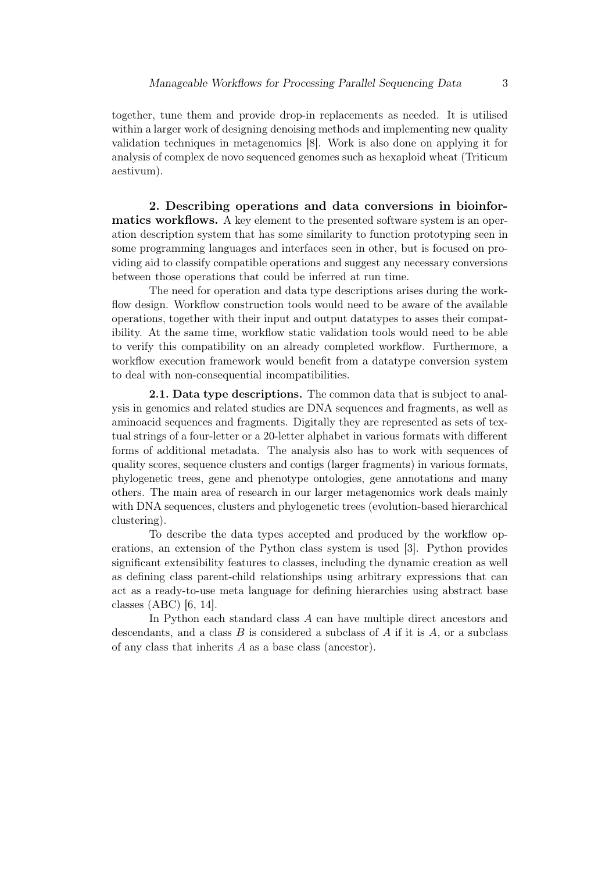together, tune them and provide drop-in replacements as needed. It is utilised within a larger work of designing denoising methods and implementing new quality validation techniques in metagenomics [8]. Work is also done on applying it for analysis of complex de novo sequenced genomes such as hexaploid wheat (Triticum aestivum).

2. Describing operations and data conversions in bioinformatics workflows. A key element to the presented software system is an operation description system that has some similarity to function prototyping seen in some programming languages and interfaces seen in other, but is focused on providing aid to classify compatible operations and suggest any necessary conversions between those operations that could be inferred at run time.

The need for operation and data type descriptions arises during the workflow design. Workflow construction tools would need to be aware of the available operations, together with their input and output datatypes to asses their compatibility. At the same time, workflow static validation tools would need to be able to verify this compatibility on an already completed workflow. Furthermore, a workflow execution framework would benefit from a datatype conversion system to deal with non-consequential incompatibilities.

2.1. Data type descriptions. The common data that is subject to analysis in genomics and related studies are DNA sequences and fragments, as well as aminoacid sequences and fragments. Digitally they are represented as sets of textual strings of a four-letter or a 20-letter alphabet in various formats with different forms of additional metadata. The analysis also has to work with sequences of quality scores, sequence clusters and contigs (larger fragments) in various formats, phylogenetic trees, gene and phenotype ontologies, gene annotations and many others. The main area of research in our larger metagenomics work deals mainly with DNA sequences, clusters and phylogenetic trees (evolution-based hierarchical clustering).

To describe the data types accepted and produced by the workflow operations, an extension of the Python class system is used [3]. Python provides significant extensibility features to classes, including the dynamic creation as well as defining class parent-child relationships using arbitrary expressions that can act as a ready-to-use meta language for defining hierarchies using abstract base classes (ABC) [6, 14].

In Python each standard class A can have multiple direct ancestors and descendants, and a class B is considered a subclass of A if it is  $A$ , or a subclass of any class that inherits A as a base class (ancestor).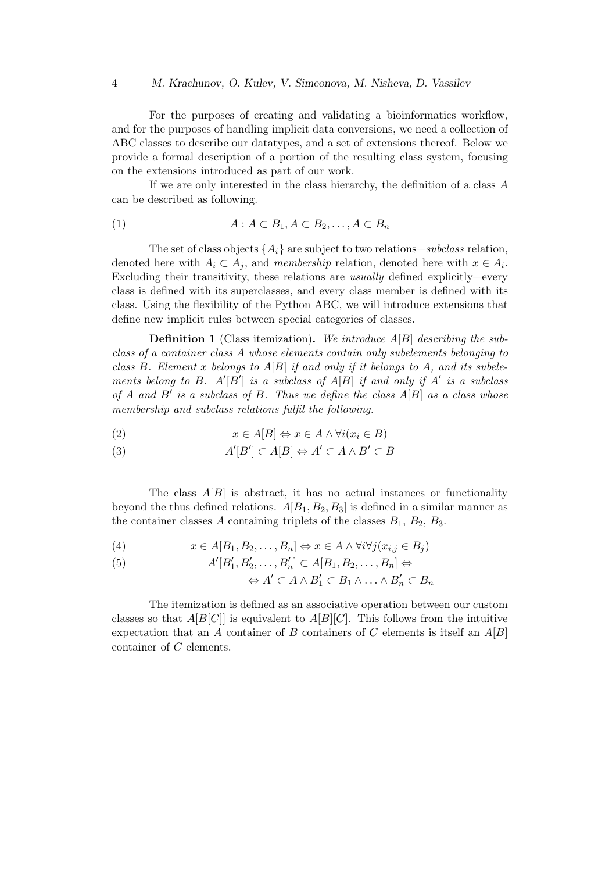For the purposes of creating and validating a bioinformatics workflow, and for the purposes of handling implicit data conversions, we need a collection of ABC classes to describe our datatypes, and a set of extensions thereof. Below we provide a formal description of a portion of the resulting class system, focusing on the extensions introduced as part of our work.

If we are only interested in the class hierarchy, the definition of a class A can be described as following.

$$
(1) \t A : A \subset B_1, A \subset B_2, \ldots, A \subset B_n
$$

The set of class objects  $\{A_i\}$  are subject to two relations—subclass relation, denoted here with  $A_i \subset A_j$ , and membership relation, denoted here with  $x \in A_i$ . Excluding their transitivity, these relations are usually defined explicitly—every class is defined with its superclasses, and every class member is defined with its class. Using the flexibility of the Python ABC, we will introduce extensions that define new implicit rules between special categories of classes.

**Definition 1** (Class itemization). We introduce  $A[B]$  describing the subclass of a container class A whose elements contain only subelements belonging to class B. Element x belongs to  $A[B]$  if and only if it belongs to A, and its subelements belong to B.  $A'[B']$  is a subclass of  $A[B]$  if and only if  $A'$  is a subclass of A and  $B'$  is a subclass of B. Thus we define the class  $A[B]$  as a class whose membership and subclass relations fulfil the following.

(2) 
$$
x \in A[B] \Leftrightarrow x \in A \land \forall i (x_i \in B)
$$

(3) 
$$
A'[B'] \subset A[B] \Leftrightarrow A' \subset A \wedge B' \subset B
$$

The class  $A[B]$  is abstract, it has no actual instances or functionality beyond the thus defined relations.  $A[B_1, B_2, B_3]$  is defined in a similar manner as the container classes A containing triplets of the classes  $B_1, B_2, B_3$ .

(4) 
$$
x \in A[B_1, B_2, \dots, B_n] \Leftrightarrow x \in A \land \forall i \forall j (x_{i,j} \in B_j)
$$

(5) 
$$
A'[B'_1, B'_2, \ldots, B'_n] \subset A[B_1, B_2, \ldots, B_n] \Leftrightarrow
$$

$$
\Leftrightarrow A' \subset A \wedge B'_1 \subset B_1 \wedge \ldots \wedge B'_n \subset B_n
$$

The itemization is defined as an associative operation between our custom classes so that  $A[B[C]]$  is equivalent to  $A[B][C]$ . This follows from the intuitive expectation that an A container of B containers of C elements is itself an  $A[B]$ container of C elements.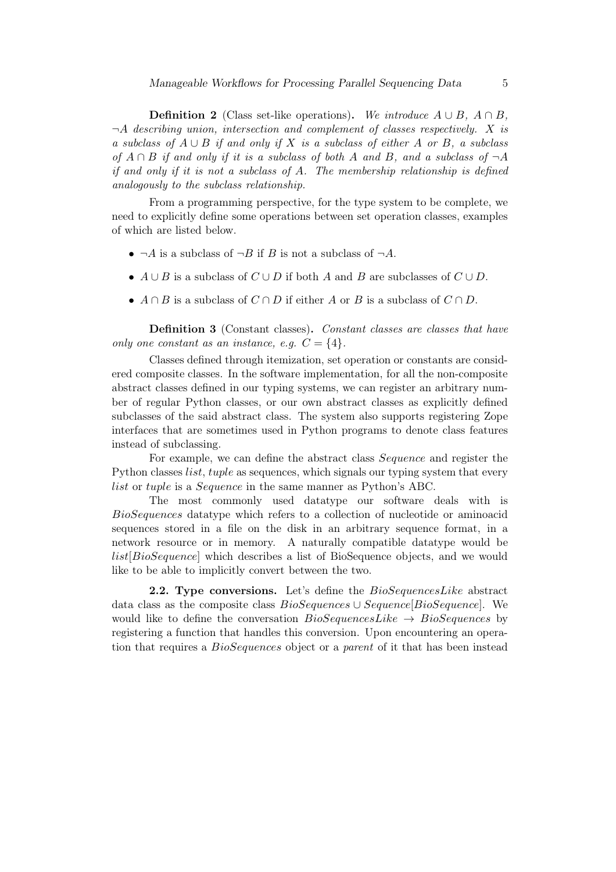**Definition 2** (Class set-like operations). We introduce  $A \cup B$ ,  $A \cap B$ ,  $\neg A$  describing union, intersection and complement of classes respectively. X is a subclass of  $A \cup B$  if and only if X is a subclass of either A or B, a subclass of  $A \cap B$  if and only if it is a subclass of both A and B, and a subclass of  $\neg A$ if and only if it is not a subclass of A. The membership relationship is defined analogously to the subclass relationship.

From a programming perspective, for the type system to be complete, we need to explicitly define some operations between set operation classes, examples of which are listed below.

- $\neg A$  is a subclass of  $\neg B$  if B is not a subclass of  $\neg A$ .
- $A \cup B$  is a subclass of  $C \cup D$  if both A and B are subclasses of  $C \cup D$ .
- $A \cap B$  is a subclass of  $C \cap D$  if either A or B is a subclass of  $C \cap D$ .

Definition 3 (Constant classes). Constant classes are classes that have only one constant as an instance, e.g.  $C = \{4\}.$ 

Classes defined through itemization, set operation or constants are considered composite classes. In the software implementation, for all the non-composite abstract classes defined in our typing systems, we can register an arbitrary number of regular Python classes, or our own abstract classes as explicitly defined subclasses of the said abstract class. The system also supports registering Zope interfaces that are sometimes used in Python programs to denote class features instead of subclassing.

For example, we can define the abstract class Sequence and register the Python classes *list, tuple* as sequences, which signals our typing system that every list or tuple is a Sequence in the same manner as Python's ABC.

The most commonly used datatype our software deals with is BioSequences datatype which refers to a collection of nucleotide or aminoacid sequences stored in a file on the disk in an arbitrary sequence format, in a network resource or in memory. A naturally compatible datatype would be list[BioSequence] which describes a list of BioSequence objects, and we would like to be able to implicitly convert between the two.

**2.2. Type conversions.** Let's define the  $BioSequencesLike$  abstract data class as the composite class  $BioSequences \cup Sequence[BioSequence]$ . We would like to define the conversation  $BioSequencesLike \rightarrow BioSequences$  by registering a function that handles this conversion. Upon encountering an operation that requires a BioSequences object or a parent of it that has been instead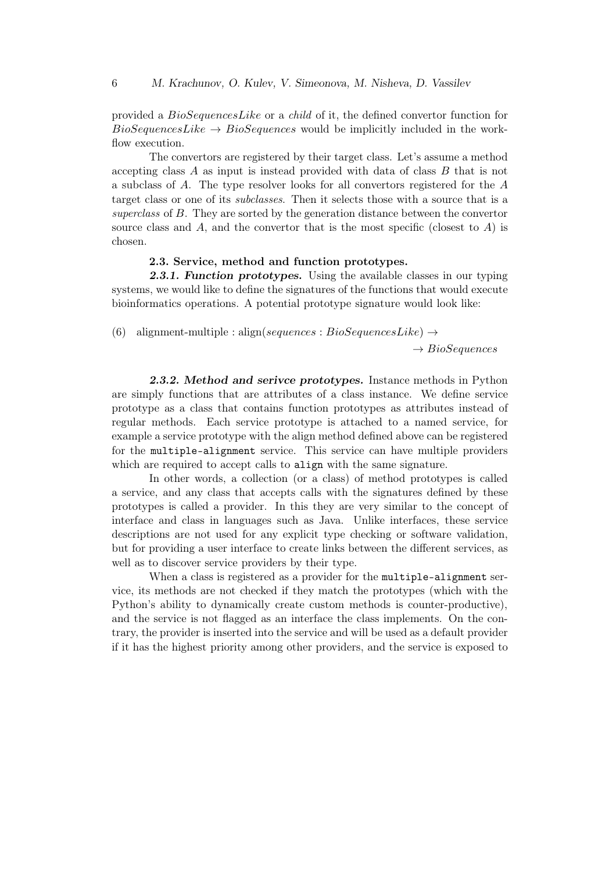provided a BioSequencesLike or a child of it, the defined convertor function for  $BioSequencesLike \rightarrow BioSequences$  would be implicitly included in the workflow execution.

The convertors are registered by their target class. Let's assume a method accepting class A as input is instead provided with data of class B that is not a subclass of A. The type resolver looks for all convertors registered for the A target class or one of its subclasses. Then it selects those with a source that is a superclass of B. They are sorted by the generation distance between the convertor source class and  $A$ , and the convertor that is the most specific (closest to  $A$ ) is chosen.

### 2.3. Service, method and function prototypes.

**2.3.1. Function prototypes.** Using the available classes in our typing systems, we would like to define the signatures of the functions that would execute bioinformatics operations. A potential prototype signature would look like:

(6) alignment-multiple : align(sequences : BioSequencesLike)  $\rightarrow$ 

 $\rightarrow BioSequences$ 

2.3.2. Method and serivce prototypes. Instance methods in Python are simply functions that are attributes of a class instance. We define service prototype as a class that contains function prototypes as attributes instead of regular methods. Each service prototype is attached to a named service, for example a service prototype with the align method defined above can be registered for the multiple-alignment service. This service can have multiple providers which are required to accept calls to align with the same signature.

In other words, a collection (or a class) of method prototypes is called a service, and any class that accepts calls with the signatures defined by these prototypes is called a provider. In this they are very similar to the concept of interface and class in languages such as Java. Unlike interfaces, these service descriptions are not used for any explicit type checking or software validation, but for providing a user interface to create links between the different services, as well as to discover service providers by their type.

When a class is registered as a provider for the multiple-alignment service, its methods are not checked if they match the prototypes (which with the Python's ability to dynamically create custom methods is counter-productive), and the service is not flagged as an interface the class implements. On the contrary, the provider is inserted into the service and will be used as a default provider if it has the highest priority among other providers, and the service is exposed to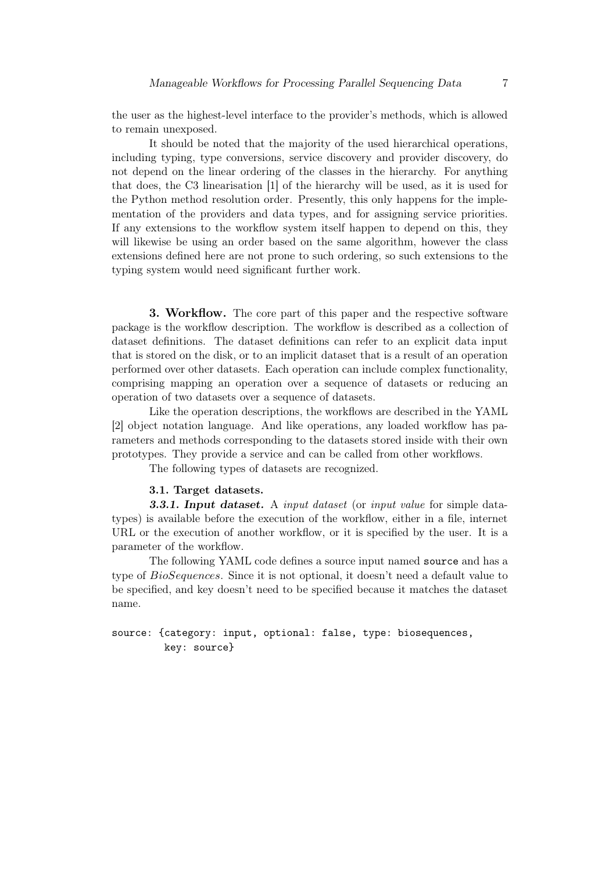the user as the highest-level interface to the provider's methods, which is allowed to remain unexposed.

It should be noted that the majority of the used hierarchical operations, including typing, type conversions, service discovery and provider discovery, do not depend on the linear ordering of the classes in the hierarchy. For anything that does, the C3 linearisation [1] of the hierarchy will be used, as it is used for the Python method resolution order. Presently, this only happens for the implementation of the providers and data types, and for assigning service priorities. If any extensions to the workflow system itself happen to depend on this, they will likewise be using an order based on the same algorithm, however the class extensions defined here are not prone to such ordering, so such extensions to the typing system would need significant further work.

3. Workflow. The core part of this paper and the respective software package is the workflow description. The workflow is described as a collection of dataset definitions. The dataset definitions can refer to an explicit data input that is stored on the disk, or to an implicit dataset that is a result of an operation performed over other datasets. Each operation can include complex functionality, comprising mapping an operation over a sequence of datasets or reducing an operation of two datasets over a sequence of datasets.

Like the operation descriptions, the workflows are described in the YAML [2] object notation language. And like operations, any loaded workflow has parameters and methods corresponding to the datasets stored inside with their own prototypes. They provide a service and can be called from other workflows.

The following types of datasets are recognized.

### 3.1. Target datasets.

**3.3.1. Input dataset.** A *input dataset* (or *input value* for simple datatypes) is available before the execution of the workflow, either in a file, internet URL or the execution of another workflow, or it is specified by the user. It is a parameter of the workflow.

The following YAML code defines a source input named source and has a type of BioSequences. Since it is not optional, it doesn't need a default value to be specified, and key doesn't need to be specified because it matches the dataset name.

## source: {category: input, optional: false, type: biosequences, key: source}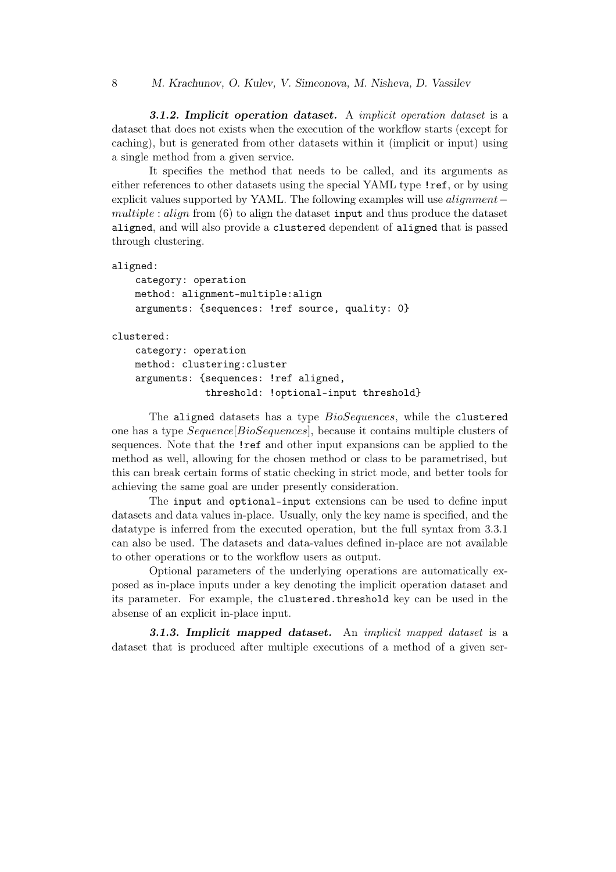3.1.2. Implicit operation dataset. A implicit operation dataset is a dataset that does not exists when the execution of the workflow starts (except for caching), but is generated from other datasets within it (implicit or input) using a single method from a given service.

It specifies the method that needs to be called, and its arguments as either references to other datasets using the special YAML type !ref, or by using explicit values supported by YAML. The following examples will use *alignment* − multiple : align from  $(6)$  to align the dataset input and thus produce the dataset aligned, and will also provide a clustered dependent of aligned that is passed through clustering.

```
aligned:
```

```
category: operation
method: alignment-multiple:align
arguments: {sequences: !ref source, quality: 0}
```
clustered:

```
category: operation
method: clustering:cluster
arguments: {sequences: !ref aligned,
            threshold: !optional-input threshold}
```
The aligned datasets has a type  $BioSequences$ , while the clustered one has a type Sequence[BioSequences], because it contains multiple clusters of sequences. Note that the !ref and other input expansions can be applied to the method as well, allowing for the chosen method or class to be parametrised, but this can break certain forms of static checking in strict mode, and better tools for achieving the same goal are under presently consideration.

The input and optional-input extensions can be used to define input datasets and data values in-place. Usually, only the key name is specified, and the datatype is inferred from the executed operation, but the full syntax from 3.3.1 can also be used. The datasets and data-values defined in-place are not available to other operations or to the workflow users as output.

Optional parameters of the underlying operations are automatically exposed as in-place inputs under a key denoting the implicit operation dataset and its parameter. For example, the clustered.threshold key can be used in the absense of an explicit in-place input.

3.1.3. Implicit mapped dataset. An implicit mapped dataset is a dataset that is produced after multiple executions of a method of a given ser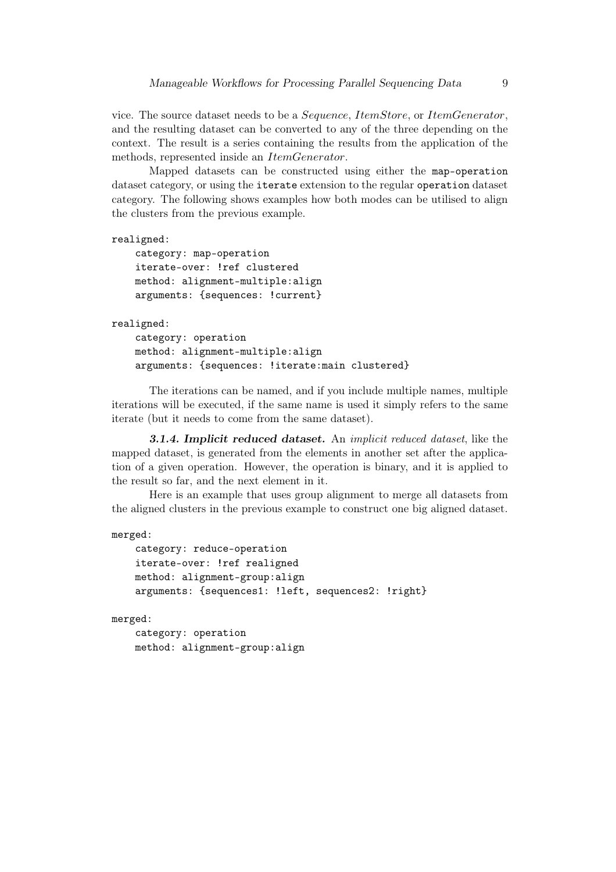vice. The source dataset needs to be a Sequence, ItemStore, or ItemGenerator, and the resulting dataset can be converted to any of the three depending on the context. The result is a series containing the results from the application of the methods, represented inside an ItemGenerator.

Mapped datasets can be constructed using either the map-operation dataset category, or using the iterate extension to the regular operation dataset category. The following shows examples how both modes can be utilised to align the clusters from the previous example.

```
realigned:
```
category: map-operation iterate-over: !ref clustered method: alignment-multiple:align arguments: {sequences: !current}

#### realigned:

category: operation method: alignment-multiple:align arguments: {sequences: !iterate:main clustered}

The iterations can be named, and if you include multiple names, multiple iterations will be executed, if the same name is used it simply refers to the same iterate (but it needs to come from the same dataset).

**3.1.4. Implicit reduced dataset.** An *implicit reduced dataset*, like the mapped dataset, is generated from the elements in another set after the application of a given operation. However, the operation is binary, and it is applied to the result so far, and the next element in it.

Here is an example that uses group alignment to merge all datasets from the aligned clusters in the previous example to construct one big aligned dataset.

```
merged:
```

```
category: reduce-operation
iterate-over: !ref realigned
method: alignment-group:align
arguments: {sequences1: !left, sequences2: !right}
```
merged:

```
category: operation
method: alignment-group:align
```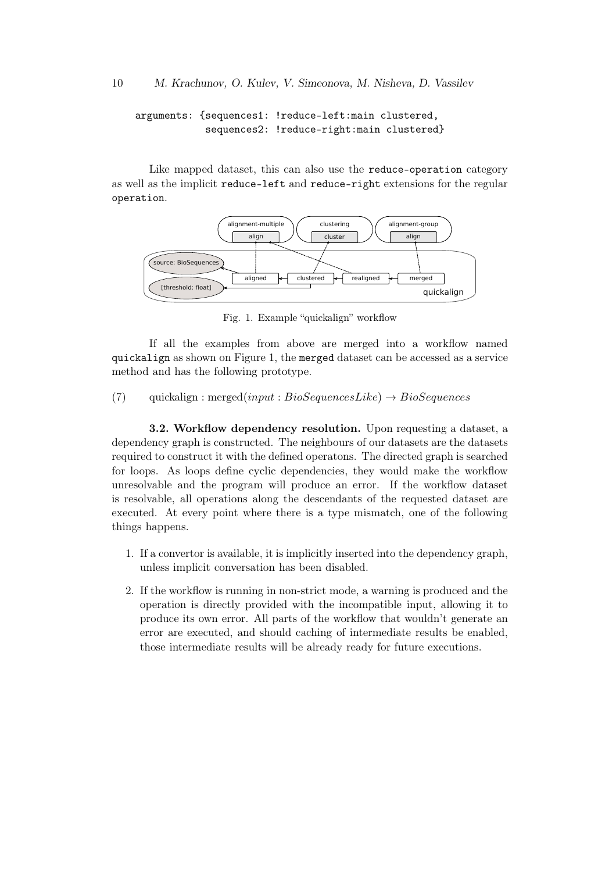arguments: {sequences1: !reduce-left:main clustered, sequences2: !reduce-right:main clustered}

Like mapped dataset, this can also use the reduce-operation category as well as the implicit reduce-left and reduce-right extensions for the regular operation.



Fig. 1. Example "quickalign" workflow

If all the examples from above are merged into a workflow named quickalign as shown on Figure 1, the merged dataset can be accessed as a service method and has the following prototype.

(7) quickalign : merged $(input : BioSequenceLike) \rightarrow BioSequences$ 

3.2. Workflow dependency resolution. Upon requesting a dataset, a dependency graph is constructed. The neighbours of our datasets are the datasets required to construct it with the defined operatons. The directed graph is searched for loops. As loops define cyclic dependencies, they would make the workflow unresolvable and the program will produce an error. If the workflow dataset is resolvable, all operations along the descendants of the requested dataset are executed. At every point where there is a type mismatch, one of the following things happens.

- 1. If a convertor is available, it is implicitly inserted into the dependency graph, unless implicit conversation has been disabled.
- 2. If the workflow is running in non-strict mode, a warning is produced and the operation is directly provided with the incompatible input, allowing it to produce its own error. All parts of the workflow that wouldn't generate an error are executed, and should caching of intermediate results be enabled, those intermediate results will be already ready for future executions.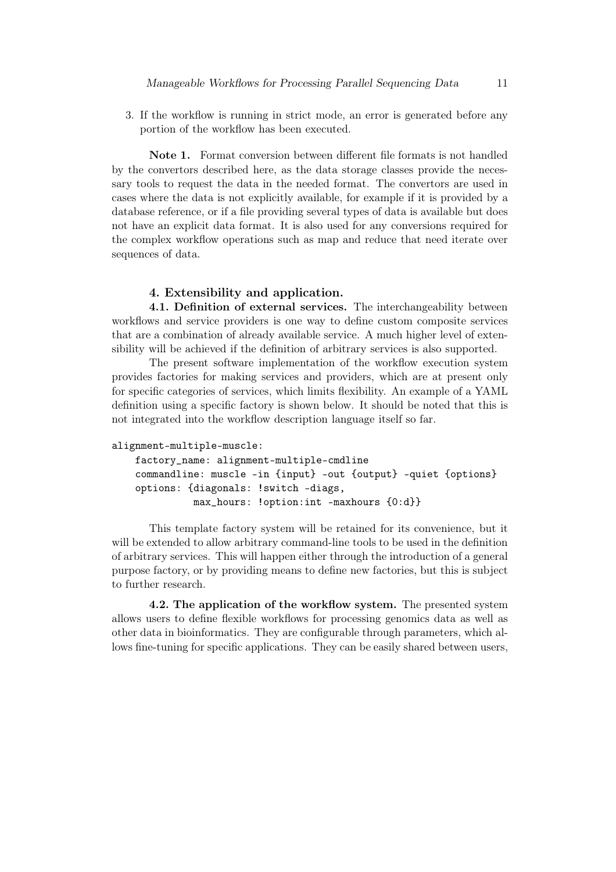3. If the workflow is running in strict mode, an error is generated before any portion of the workflow has been executed.

Note 1. Format conversion between different file formats is not handled by the convertors described here, as the data storage classes provide the necessary tools to request the data in the needed format. The convertors are used in cases where the data is not explicitly available, for example if it is provided by a database reference, or if a file providing several types of data is available but does not have an explicit data format. It is also used for any conversions required for the complex workflow operations such as map and reduce that need iterate over sequences of data.

### 4. Extensibility and application.

4.1. Definition of external services. The interchangeability between workflows and service providers is one way to define custom composite services that are a combination of already available service. A much higher level of extensibility will be achieved if the definition of arbitrary services is also supported.

The present software implementation of the workflow execution system provides factories for making services and providers, which are at present only for specific categories of services, which limits flexibility. An example of a YAML definition using a specific factory is shown below. It should be noted that this is not integrated into the workflow description language itself so far.

```
alignment-multiple-muscle:
```

```
factory_name: alignment-multiple-cmdline
commandline: muscle -in {input} -out {output} -quiet {options}
options: {diagonals: !switch -diags,
          max_hours: !option:int -maxhours {0:d}}
```
This template factory system will be retained for its convenience, but it will be extended to allow arbitrary command-line tools to be used in the definition of arbitrary services. This will happen either through the introduction of a general purpose factory, or by providing means to define new factories, but this is subject to further research.

4.2. The application of the workflow system. The presented system allows users to define flexible workflows for processing genomics data as well as other data in bioinformatics. They are configurable through parameters, which allows fine-tuning for specific applications. They can be easily shared between users,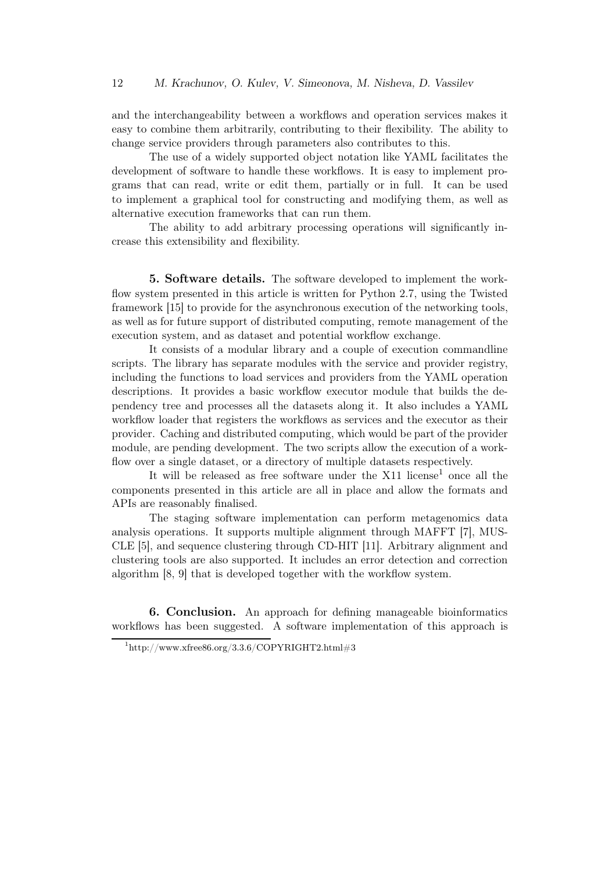and the interchangeability between a workflows and operation services makes it easy to combine them arbitrarily, contributing to their flexibility. The ability to change service providers through parameters also contributes to this.

The use of a widely supported object notation like YAML facilitates the development of software to handle these workflows. It is easy to implement programs that can read, write or edit them, partially or in full. It can be used to implement a graphical tool for constructing and modifying them, as well as alternative execution frameworks that can run them.

The ability to add arbitrary processing operations will significantly increase this extensibility and flexibility.

5. Software details. The software developed to implement the workflow system presented in this article is written for Python 2.7, using the Twisted framework [15] to provide for the asynchronous execution of the networking tools, as well as for future support of distributed computing, remote management of the execution system, and as dataset and potential workflow exchange.

It consists of a modular library and a couple of execution commandline scripts. The library has separate modules with the service and provider registry, including the functions to load services and providers from the YAML operation descriptions. It provides a basic workflow executor module that builds the dependency tree and processes all the datasets along it. It also includes a YAML workflow loader that registers the workflows as services and the executor as their provider. Caching and distributed computing, which would be part of the provider module, are pending development. The two scripts allow the execution of a workflow over a single dataset, or a directory of multiple datasets respectively.

It will be released as free software under the  $X11$  license<sup>1</sup> once all the components presented in this article are all in place and allow the formats and APIs are reasonably finalised.

The staging software implementation can perform metagenomics data analysis operations. It supports multiple alignment through MAFFT [7], MUS-CLE [5], and sequence clustering through CD-HIT [11]. Arbitrary alignment and clustering tools are also supported. It includes an error detection and correction algorithm [8, 9] that is developed together with the workflow system.

6. Conclusion. An approach for defining manageable bioinformatics workflows has been suggested. A software implementation of this approach is

 $^{1}$ http://www.xfree86.org/3.3.6/COPYRIGHT2.html#3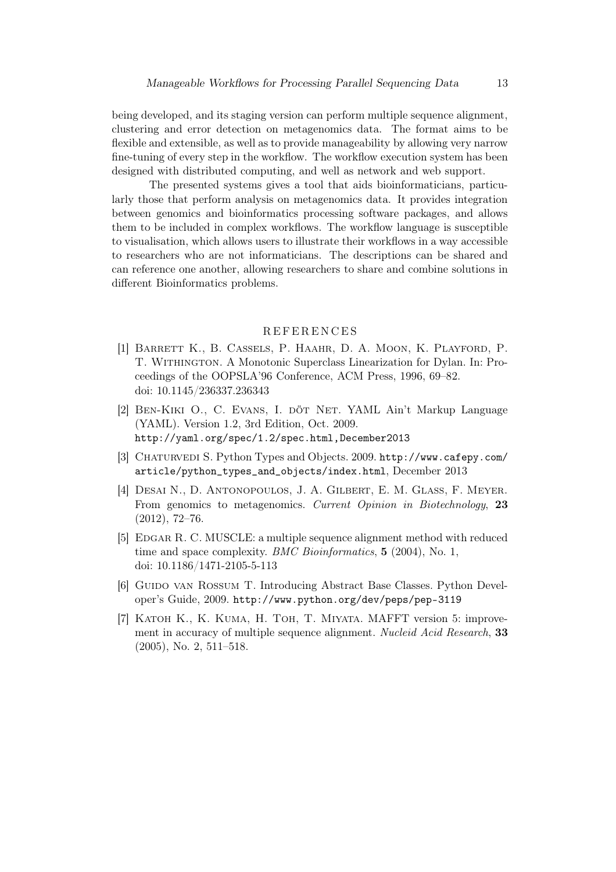being developed, and its staging version can perform multiple sequence alignment, clustering and error detection on metagenomics data. The format aims to be flexible and extensible, as well as to provide manageability by allowing very narrow fine-tuning of every step in the workflow. The workflow execution system has been designed with distributed computing, and well as network and web support.

The presented systems gives a tool that aids bioinformaticians, particularly those that perform analysis on metagenomics data. It provides integration between genomics and bioinformatics processing software packages, and allows them to be included in complex workflows. The workflow language is susceptible to visualisation, which allows users to illustrate their workflows in a way accessible to researchers who are not informaticians. The descriptions can be shared and can reference one another, allowing researchers to share and combine solutions in different Bioinformatics problems.

### **REFERENCES**

- [1] Barrett K., B. Cassels, P. Haahr, D. A. Moon, K. Playford, P. T. Withington. A Monotonic Superclass Linearization for Dylan. In: Proceedings of the OOPSLA'96 Conference, ACM Press, 1996, 69–82. doi: 10.1145/236337.236343
- [2] BEN-KIKI O., C. EVANS, I. DÖT NET. YAML Ain't Markup Language (YAML). Version 1.2, 3rd Edition, Oct. 2009. http://yaml.org/spec/1.2/spec.html,December2013
- [3] CHATURVEDI S. Python Types and Objects. 2009. http://www.cafepy.com/ article/python\_types\_and\_objects/index.html, December 2013
- [4] Desai N., D. Antonopoulos, J. A. Gilbert, E. M. Glass, F. Meyer. From genomics to metagenomics. Current Opinion in Biotechnology, 23 (2012), 72–76.
- [5] EDGAR R. C. MUSCLE: a multiple sequence alignment method with reduced time and space complexity. BMC Bioinformatics, 5 (2004), No. 1, doi: 10.1186/1471-2105-5-113
- [6] Guido van Rossum T. Introducing Abstract Base Classes. Python Developer's Guide, 2009. http://www.python.org/dev/peps/pep-3119
- [7] Katoh K., K. Kuma, H. Toh, T. Miyata. MAFFT version 5: improvement in accuracy of multiple sequence alignment. Nucleid Acid Research, 33 (2005), No. 2, 511–518.